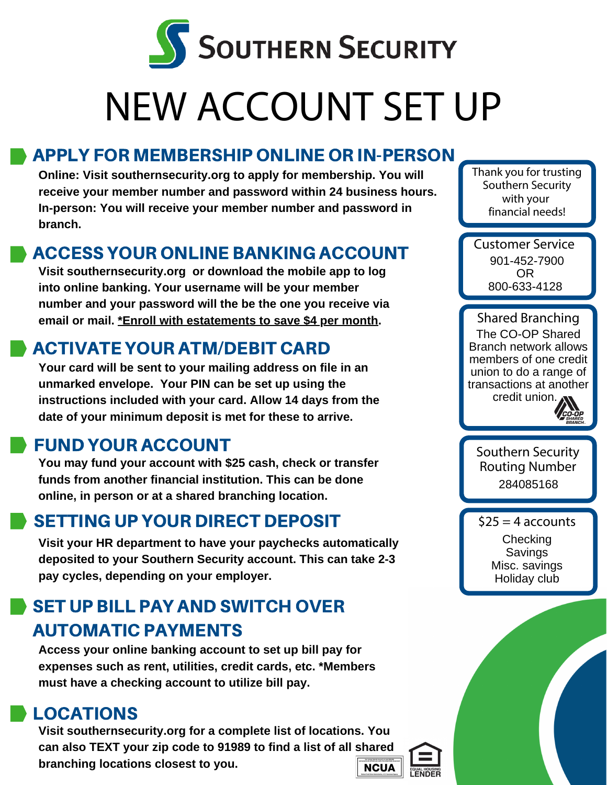

# NEW ACCOUNT SET UP

# APPLY FOR MEMBERSHIP ONLINE OR IN-PERSON

**Online: Visit southernsecurity.org to apply for membership. You will receive your member number and password within 24 business hours. In-person: You will receive your member number and password in branch.**

### ACCESS YOUR ONLINE BANKING ACCOUNT

**Visit southernsecurity.org or download the mobile app to log into online banking. Your username will be your member number and your password will the be the one you receive via email or mail. \*Enroll with estatements to save \$4 per month.**

## ACTIVATE YOUR ATM/DEBIT CARD

**Your card will be sent to your mailing address on file in an unmarked envelope. Your PIN can be set up using the instructions included with your card. Allow 14 days from the date of your minimum deposit is met for these to arrive.**

## FUND YOUR ACCOUNT

**You may fund your account with \$25 cash, check or transfer funds from another financial institution. This can be done online, in person or at a shared branching location.** 

## SETTING UP YOUR DIRECT DEPOSIT

**Visit your HR department to have your paychecks automatically deposited to your Southern Security account. This can take 2-3 pay cycles, depending on your employer.**

# SET UP BILL PAY AND SWITCH OVER AUTOMATIC PAYMENTS

**Access your online banking account to set up bill pay for expenses such as rent, utilities, credit cards, etc. \*Members must have a checking account to utilize bill pay.**

## LOCATIONS

**Visit southernsecurity.org for a complete list of locations. You can also TEXT your zip code to 91989 to find a list of all shared branching locations closest to you. NCUA** 

Thank you for trusting Southern Security with your financial needs!

Customer Service 901-452-7900 OR 800-633-4128

Shared Branching The CO-OP Shared Branch network allows members of one credit union to do a range of transactions at another credit union. .



Southern Security Routing Number 284085168

 $$25 = 4$  accounts Checking **Savings** Misc. savings Holiday club